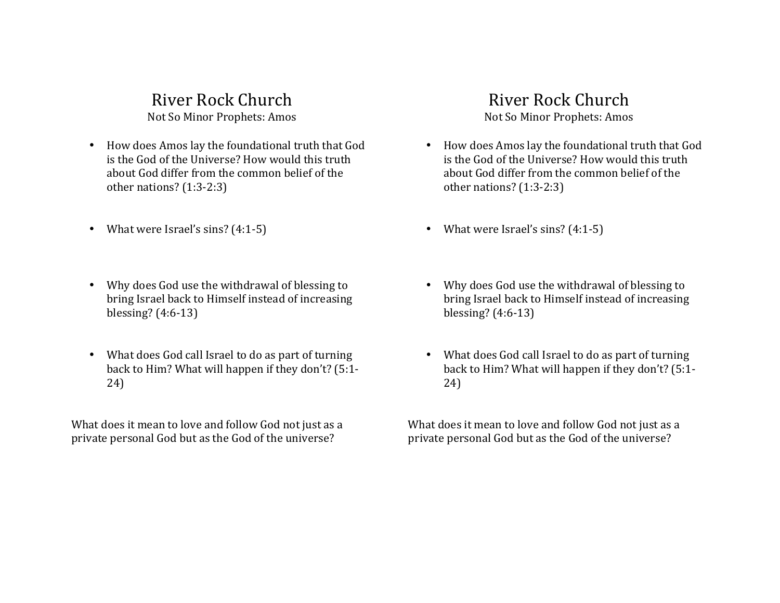River Rock Church Not So Minor Prophets: Amos

- How does Amos lay the foundational truth that God is the God of the Universe? How would this truth about God differ from the common belief of the other nations?  $(1:3-2:3)$
- What were Israel's sins?  $(4:1-5)$
- Why does God use the withdrawal of blessing to bring Israel back to Himself instead of increasing blessing? (4:6-13)
- What does God call Israel to do as part of turning back to Him? What will happen if they don't?  $(5:1-$ 24)

What does it mean to love and follow God not just as a private personal God but as the God of the universe?

# River Rock Church

Not So Minor Prophets: Amos

- How does Amos lay the foundational truth that God is the God of the Universe? How would this truth about God differ from the common belief of the other nations?  $(1:3-2:3)$
- What were Israel's sins?  $(4:1-5)$
- Why does God use the withdrawal of blessing to bring Israel back to Himself instead of increasing blessing? (4:6-13)
- What does God call Israel to do as part of turning back to Him? What will happen if they don't? (5:1-24)

What does it mean to love and follow God not just as a private personal God but as the God of the universe?